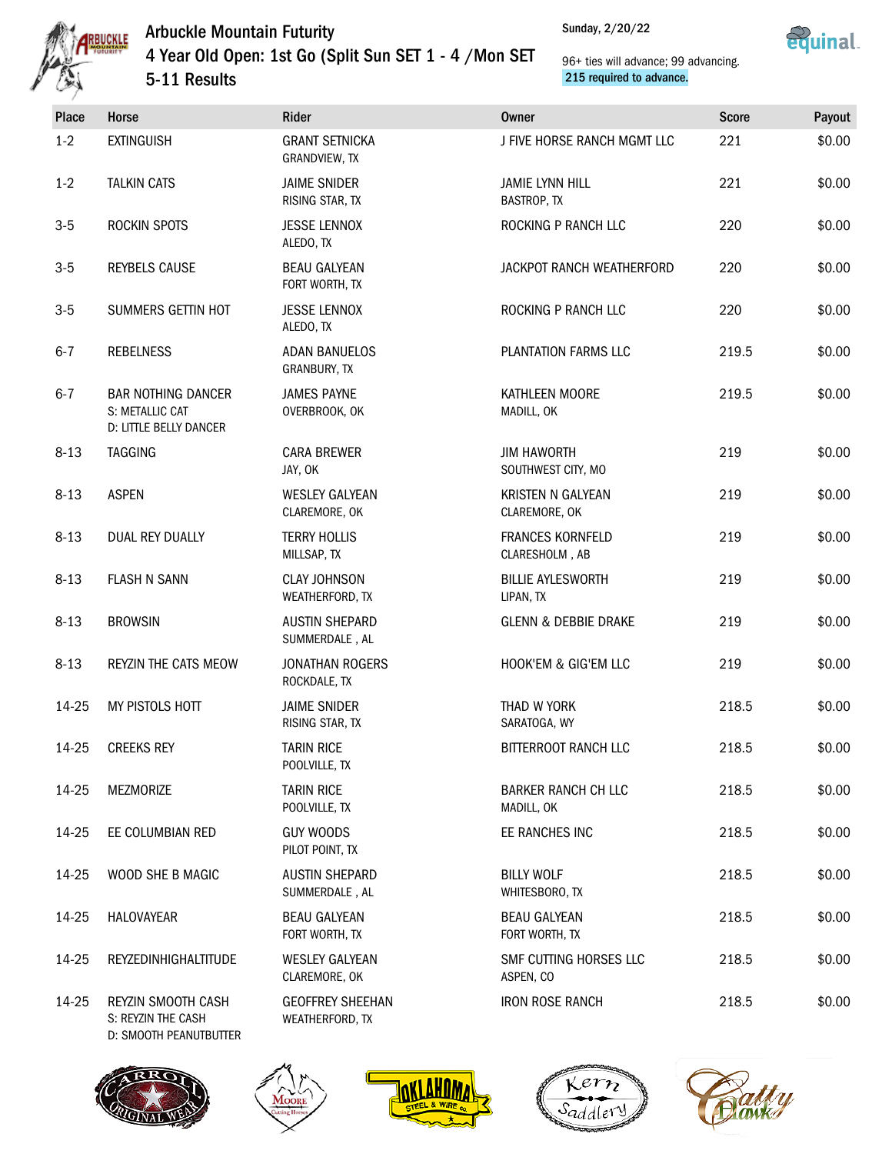Sunday, 2/20/22





# Arbuckle Mountain Futurity 4 Year Old Open: 1st Go (Split Sun SET 1 - 4 /Mon SET 5-11 Results

| <b>Place</b> | Horse                                                                  | Rider                                      | <b>Owner</b>                              | <b>Score</b> | Payout |
|--------------|------------------------------------------------------------------------|--------------------------------------------|-------------------------------------------|--------------|--------|
| $1-2$        | <b>EXTINGUISH</b>                                                      | <b>GRANT SETNICKA</b><br>GRANDVIEW, TX     | J FIVE HORSE RANCH MGMT LLC               | 221          | \$0.00 |
| $1-2$        | <b>TALKIN CATS</b>                                                     | <b>JAIME SNIDER</b><br>RISING STAR, TX     | <b>JAMIE LYNN HILL</b><br>BASTROP, TX     | 221          | \$0.00 |
| $3-5$        | ROCKIN SPOTS                                                           | <b>JESSE LENNOX</b><br>ALEDO, TX           | ROCKING P RANCH LLC                       | 220          | \$0.00 |
| $3-5$        | <b>REYBELS CAUSE</b>                                                   | <b>BEAU GALYEAN</b><br>FORT WORTH, TX      | JACKPOT RANCH WEATHERFORD                 | 220          | \$0.00 |
| $3-5$        | SUMMERS GETTIN HOT                                                     | <b>JESSE LENNOX</b><br>ALEDO, TX           | ROCKING P RANCH LLC                       | 220          | \$0.00 |
| $6 - 7$      | <b>REBELNESS</b>                                                       | <b>ADAN BANUELOS</b><br>GRANBURY, TX       | PLANTATION FARMS LLC                      | 219.5        | \$0.00 |
| $6 - 7$      | <b>BAR NOTHING DANCER</b><br>S: METALLIC CAT<br>D: LITTLE BELLY DANCER | <b>JAMES PAYNE</b><br>OVERBROOK, OK        | KATHLEEN MOORE<br>MADILL, OK              | 219.5        | \$0.00 |
| $8 - 13$     | <b>TAGGING</b>                                                         | <b>CARA BREWER</b><br>JAY, OK              | <b>JIM HAWORTH</b><br>SOUTHWEST CITY, MO  | 219          | \$0.00 |
| $8 - 13$     | <b>ASPEN</b>                                                           | <b>WESLEY GALYEAN</b><br>CLAREMORE, OK     | KRISTEN N GALYEAN<br>CLAREMORE, OK        | 219          | \$0.00 |
| $8 - 13$     | <b>DUAL REY DUALLY</b>                                                 | <b>TERRY HOLLIS</b><br>MILLSAP, TX         | <b>FRANCES KORNFELD</b><br>CLARESHOLM, AB | 219          | \$0.00 |
| $8 - 13$     | <b>FLASH N SANN</b>                                                    | <b>CLAY JOHNSON</b><br>WEATHERFORD, TX     | <b>BILLIE AYLESWORTH</b><br>LIPAN, TX     | 219          | \$0.00 |
| $8 - 13$     | <b>BROWSIN</b>                                                         | <b>AUSTIN SHEPARD</b><br>SUMMERDALE, AL    | <b>GLENN &amp; DEBBIE DRAKE</b>           | 219          | \$0.00 |
| $8 - 13$     | REYZIN THE CATS MEOW                                                   | <b>JONATHAN ROGERS</b><br>ROCKDALE, TX     | HOOK'EM & GIG'EM LLC                      | 219          | \$0.00 |
| 14-25        | MY PISTOLS HOTT                                                        | <b>JAIME SNIDER</b><br>RISING STAR, TX     | THAD W YORK<br>SARATOGA, WY               | 218.5        | \$0.00 |
| 14-25        | <b>CREEKS REY</b>                                                      | <b>TARIN RICE</b><br>POOLVILLE, TX         | BITTERROOT RANCH LLC                      | 218.5        | \$0.00 |
| 14-25        | MEZMORIZE                                                              | <b>TARIN RICE</b><br>POOLVILLE, TX         | <b>BARKER RANCH CH LLC</b><br>MADILL, OK  | 218.5        | \$0.00 |
| 14-25        | EE COLUMBIAN RED                                                       | <b>GUY WOODS</b><br>PILOT POINT, TX        | EE RANCHES INC                            | 218.5        | \$0.00 |
| 14-25        | WOOD SHE B MAGIC                                                       | <b>AUSTIN SHEPARD</b><br>SUMMERDALE, AL    | <b>BILLY WOLF</b><br>WHITESBORO, TX       | 218.5        | \$0.00 |
| 14-25        | HALOVAYEAR                                                             | <b>BEAU GALYEAN</b><br>FORT WORTH, TX      | <b>BEAU GALYEAN</b><br>FORT WORTH, TX     | 218.5        | \$0.00 |
| 14-25        | REYZEDINHIGHALTITUDE                                                   | <b>WESLEY GALYEAN</b><br>CLAREMORE, OK     | SMF CUTTING HORSES LLC<br>ASPEN, CO       | 218.5        | \$0.00 |
| 14-25        | REYZIN SMOOTH CASH<br>S: REYZIN THE CASH<br>D: SMOOTH PEANUTBUTTER     | <b>GEOFFREY SHEEHAN</b><br>WEATHERFORD, TX | <b>IRON ROSE RANCH</b>                    | 218.5        | \$0.00 |









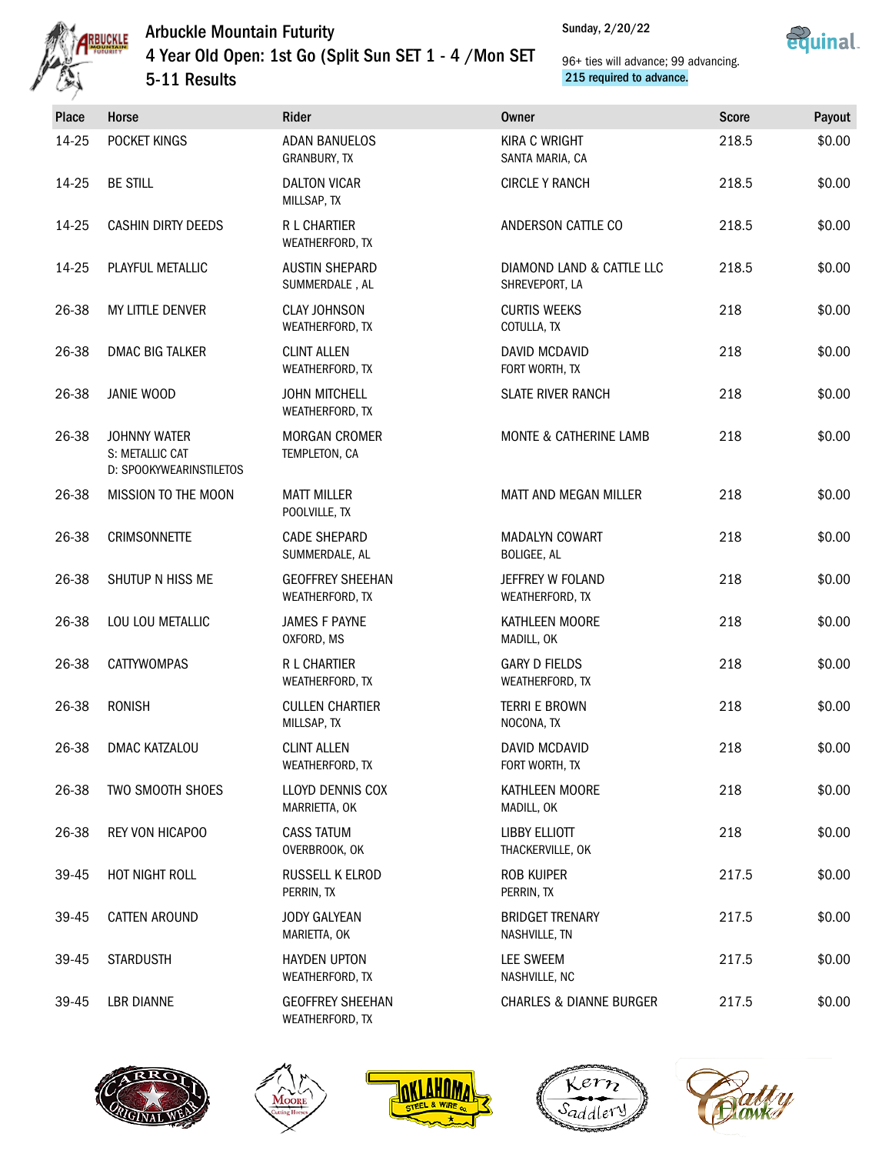





| Place | Horse                                                      | Rider                                      | <b>Owner</b>                                | <b>Score</b> | Payout |
|-------|------------------------------------------------------------|--------------------------------------------|---------------------------------------------|--------------|--------|
| 14-25 | POCKET KINGS                                               | <b>ADAN BANUELOS</b><br>GRANBURY, TX       | <b>KIRA C WRIGHT</b><br>SANTA MARIA, CA     | 218.5        | \$0.00 |
| 14-25 | <b>BE STILL</b>                                            | <b>DALTON VICAR</b><br>MILLSAP, TX         | <b>CIRCLE Y RANCH</b>                       | 218.5        | \$0.00 |
| 14-25 | <b>CASHIN DIRTY DEEDS</b>                                  | R L CHARTIER<br>WEATHERFORD, TX            | ANDERSON CATTLE CO                          | 218.5        | \$0.00 |
| 14-25 | PLAYFUL METALLIC                                           | <b>AUSTIN SHEPARD</b><br>SUMMERDALE, AL    | DIAMOND LAND & CATTLE LLC<br>SHREVEPORT, LA | 218.5        | \$0.00 |
| 26-38 | MY LITTLE DENVER                                           | <b>CLAY JOHNSON</b><br>WEATHERFORD, TX     | <b>CURTIS WEEKS</b><br>COTULLA, TX          | 218          | \$0.00 |
| 26-38 | <b>DMAC BIG TALKER</b>                                     | <b>CLINT ALLEN</b><br>WEATHERFORD, TX      | DAVID MCDAVID<br>FORT WORTH, TX             | 218          | \$0.00 |
| 26-38 | JANIE WOOD                                                 | <b>JOHN MITCHELL</b><br>WEATHERFORD, TX    | <b>SLATE RIVER RANCH</b>                    | 218          | \$0.00 |
| 26-38 | JOHNNY WATER<br>S: METALLIC CAT<br>D: SPOOKYWEARINSTILETOS | <b>MORGAN CROMER</b><br>TEMPLETON, CA      | MONTE & CATHERINE LAMB                      | 218          | \$0.00 |
| 26-38 | MISSION TO THE MOON                                        | <b>MATT MILLER</b><br>POOLVILLE, TX        | MATT AND MEGAN MILLER                       | 218          | \$0.00 |
| 26-38 | <b>CRIMSONNETTE</b>                                        | <b>CADE SHEPARD</b><br>SUMMERDALE, AL      | <b>MADALYN COWART</b><br>BOLIGEE, AL        | 218          | \$0.00 |
| 26-38 | SHUTUP N HISS ME                                           | <b>GEOFFREY SHEEHAN</b><br>WEATHERFORD, TX | JEFFREY W FOLAND<br>WEATHERFORD, TX         | 218          | \$0.00 |
| 26-38 | LOU LOU METALLIC                                           | <b>JAMES F PAYNE</b><br>OXFORD, MS         | KATHLEEN MOORE<br>MADILL, OK                | 218          | \$0.00 |
| 26-38 | <b>CATTYWOMPAS</b>                                         | R L CHARTIER<br>WEATHERFORD, TX            | <b>GARY D FIELDS</b><br>WEATHERFORD, TX     | 218          | \$0.00 |
| 26-38 | <b>RONISH</b>                                              | <b>CULLEN CHARTIER</b><br>MILLSAP, TX      | <b>TERRI E BROWN</b><br>NOCONA, TX          | 218          | \$0.00 |
| 26-38 | DMAC KATZALOU                                              | <b>CLINT ALLEN</b><br>WEATHERFORD, TX      | DAVID MCDAVID<br>FORT WORTH, TX             | 218          | \$0.00 |
| 26-38 | TWO SMOOTH SHOES                                           | LLOYD DENNIS COX<br>MARRIETTA, OK          | KATHLEEN MOORE<br>MADILL, OK                | 218          | \$0.00 |
| 26-38 | REY VON HICAPOO                                            | <b>CASS TATUM</b><br>OVERBROOK, OK         | <b>LIBBY ELLIOTT</b><br>THACKERVILLE, OK    | 218          | \$0.00 |
| 39-45 | HOT NIGHT ROLL                                             | RUSSELL K ELROD<br>PERRIN, TX              | <b>ROB KUIPER</b><br>PERRIN, TX             | 217.5        | \$0.00 |
| 39-45 | <b>CATTEN AROUND</b>                                       | <b>JODY GALYEAN</b><br>MARIETTA, OK        | <b>BRIDGET TRENARY</b><br>NASHVILLE, TN     | 217.5        | \$0.00 |
| 39-45 | <b>STARDUSTH</b>                                           | <b>HAYDEN UPTON</b><br>WEATHERFORD, TX     | <b>LEE SWEEM</b><br>NASHVILLE, NC           | 217.5        | \$0.00 |
| 39-45 | <b>LBR DIANNE</b>                                          | <b>GEOFFREY SHEEHAN</b><br>WEATHERFORD, TX | <b>CHARLES &amp; DIANNE BURGER</b>          | 217.5        | \$0.00 |









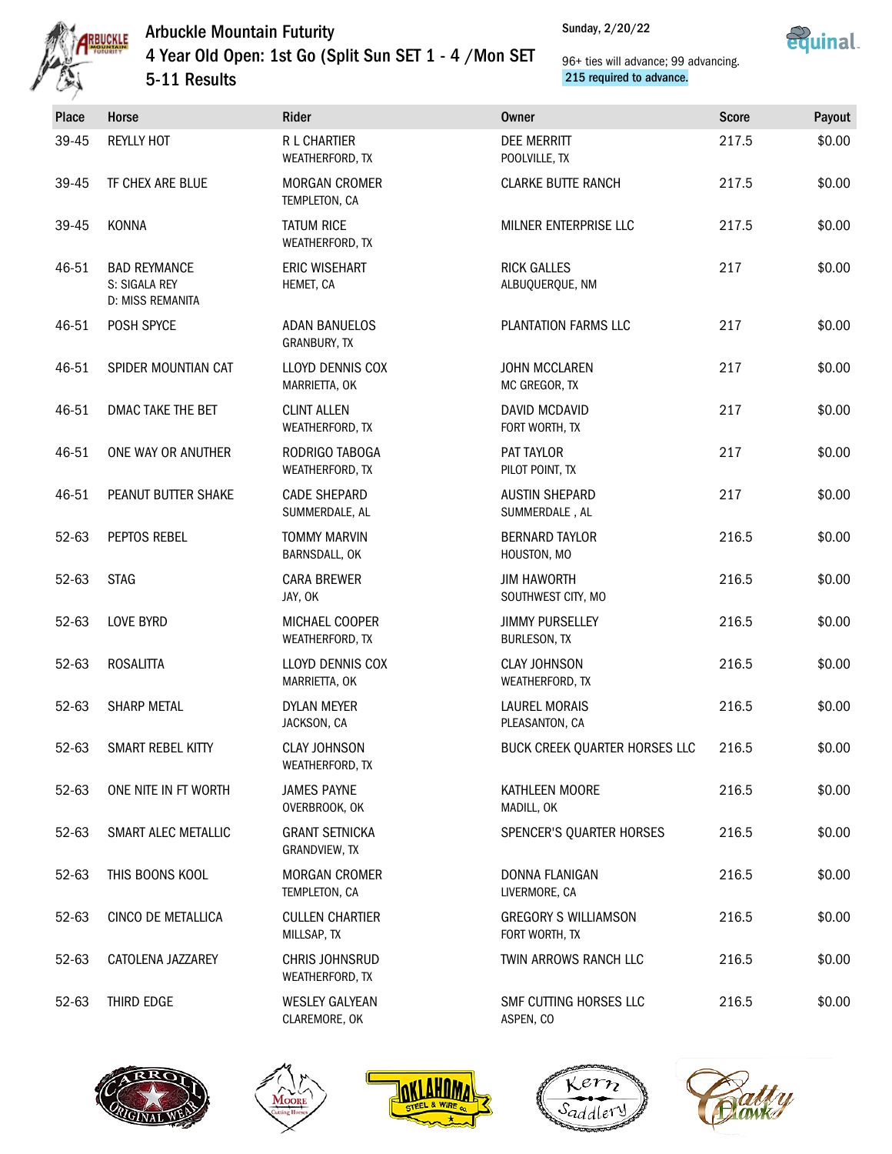

Sunday, 2/20/22



| Place | Horse                                                    | Rider                                    | <b>Owner</b>                                  | <b>Score</b> | Payout |  |  |
|-------|----------------------------------------------------------|------------------------------------------|-----------------------------------------------|--------------|--------|--|--|
| 39-45 | <b>REYLLY HOT</b>                                        | R L CHARTIER<br>WEATHERFORD, TX          | <b>DEE MERRITT</b><br>POOLVILLE, TX           | 217.5        | \$0.00 |  |  |
| 39-45 | TF CHEX ARE BLUE                                         | <b>MORGAN CROMER</b><br>TEMPLETON, CA    | <b>CLARKE BUTTE RANCH</b>                     | 217.5        | \$0.00 |  |  |
| 39-45 | KONNA                                                    | <b>TATUM RICE</b><br>WEATHERFORD, TX     | MILNER ENTERPRISE LLC                         | 217.5        | \$0.00 |  |  |
| 46-51 | <b>BAD REYMANCE</b><br>S: SIGALA REY<br>D: MISS REMANITA | <b>ERIC WISEHART</b><br>HEMET, CA        | <b>RICK GALLES</b><br>ALBUQUERQUE, NM         | 217          | \$0.00 |  |  |
| 46-51 | POSH SPYCE                                               | <b>ADAN BANUELOS</b><br>GRANBURY, TX     | PLANTATION FARMS LLC                          | 217          | \$0.00 |  |  |
| 46-51 | SPIDER MOUNTIAN CAT                                      | LLOYD DENNIS COX<br>MARRIETTA, OK        | <b>JOHN MCCLAREN</b><br>MC GREGOR, TX         | 217          | \$0.00 |  |  |
| 46-51 | DMAC TAKE THE BET                                        | <b>CLINT ALLEN</b><br>WEATHERFORD, TX    | DAVID MCDAVID<br>FORT WORTH, TX               | 217          | \$0.00 |  |  |
| 46-51 | ONE WAY OR ANUTHER                                       | RODRIGO TABOGA<br>WEATHERFORD, TX        | PAT TAYLOR<br>PILOT POINT, TX                 | 217          | \$0.00 |  |  |
| 46-51 | PEANUT BUTTER SHAKE                                      | <b>CADE SHEPARD</b><br>SUMMERDALE, AL    | <b>AUSTIN SHEPARD</b><br>SUMMERDALE, AL       | 217          | \$0.00 |  |  |
| 52-63 | PEPTOS REBEL                                             | <b>TOMMY MARVIN</b><br>BARNSDALL, OK     | <b>BERNARD TAYLOR</b><br>HOUSTON, MO          | 216.5        | \$0.00 |  |  |
| 52-63 | <b>STAG</b>                                              | <b>CARA BREWER</b><br>JAY, OK            | <b>JIM HAWORTH</b><br>SOUTHWEST CITY, MO      | 216.5        | \$0.00 |  |  |
| 52-63 | LOVE BYRD                                                | MICHAEL COOPER<br>WEATHERFORD, TX        | <b>JIMMY PURSELLEY</b><br><b>BURLESON, TX</b> | 216.5        | \$0.00 |  |  |
| 52-63 | <b>ROSALITTA</b>                                         | LLOYD DENNIS COX<br>MARRIETTA, OK        | <b>CLAY JOHNSON</b><br>WEATHERFORD, TX        | 216.5        | \$0.00 |  |  |
| 52-63 | <b>SHARP METAL</b>                                       | <b>DYLAN MEYER</b><br>JACKSON, CA        | <b>LAUREL MORAIS</b><br>PLEASANTON, CA        | 216.5        | \$0.00 |  |  |
| 52-63 | SMART REBEL KITTY                                        | <b>CLAY JOHNSON</b><br>WEATHERFORD, TX   | BUCK CREEK QUARTER HORSES LLC                 | 216.5        | \$0.00 |  |  |
| 52-63 | ONE NITE IN FT WORTH                                     | <b>JAMES PAYNE</b><br>OVERBROOK, OK      | KATHLEEN MOORE<br>MADILL, OK                  | 216.5        | \$0.00 |  |  |
| 52-63 | SMART ALEC METALLIC                                      | <b>GRANT SETNICKA</b><br>GRANDVIEW, TX   | SPENCER'S QUARTER HORSES                      | 216.5        | \$0.00 |  |  |
| 52-63 | THIS BOONS KOOL                                          | <b>MORGAN CROMER</b><br>TEMPLETON, CA    | DONNA FLANIGAN<br>LIVERMORE, CA               | 216.5        | \$0.00 |  |  |
| 52-63 | CINCO DE METALLICA                                       | <b>CULLEN CHARTIER</b><br>MILLSAP, TX    | <b>GREGORY S WILLIAMSON</b><br>FORT WORTH, TX | 216.5        | \$0.00 |  |  |
| 52-63 | CATOLENA JAZZAREY                                        | <b>CHRIS JOHNSRUD</b><br>WEATHERFORD, TX | TWIN ARROWS RANCH LLC                         | 216.5        | \$0.00 |  |  |
| 52-63 | THIRD EDGE                                               | <b>WESLEY GALYEAN</b><br>CLAREMORE, OK   | SMF CUTTING HORSES LLC<br>ASPEN, CO           | 216.5        | \$0.00 |  |  |









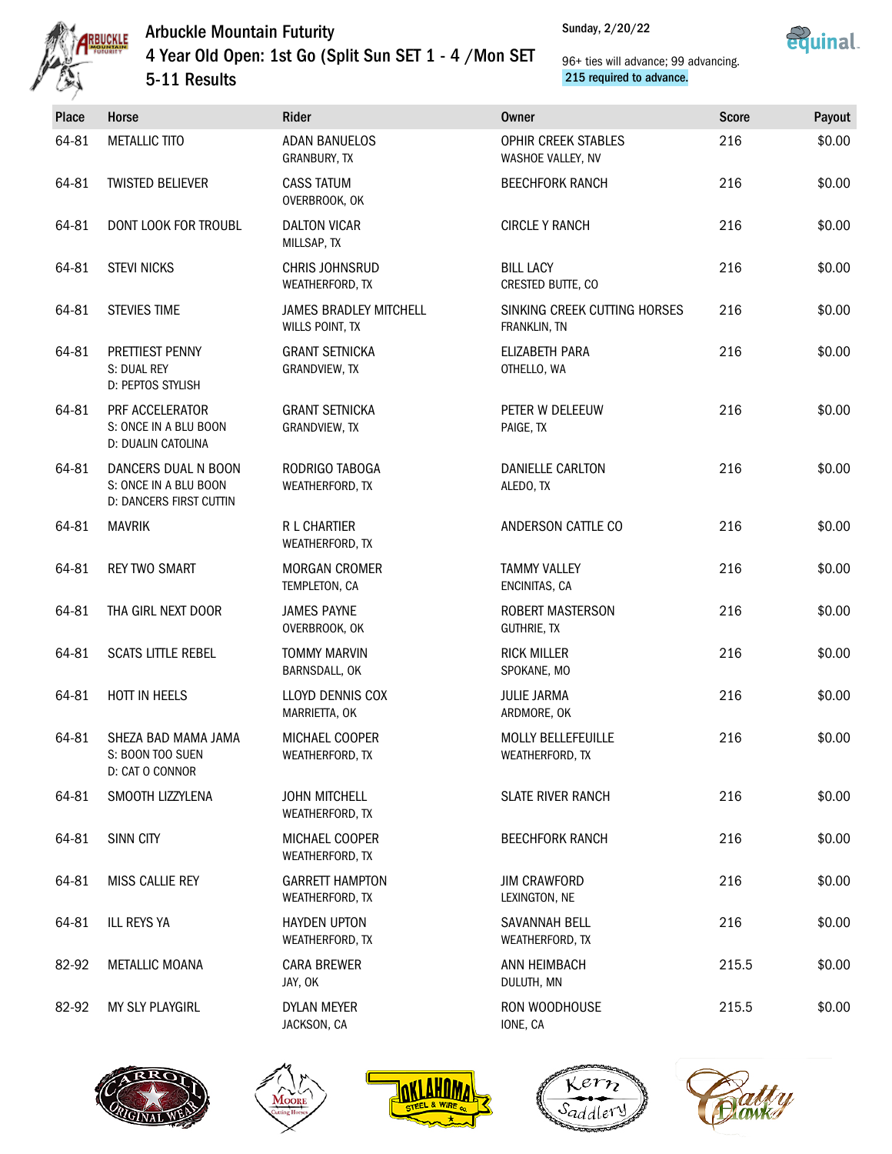



| Place | <b>Horse</b>                                                            | Rider                                            | <b>Owner</b>                                  | <b>Score</b> | Payout |
|-------|-------------------------------------------------------------------------|--------------------------------------------------|-----------------------------------------------|--------------|--------|
| 64-81 | <b>METALLIC TITO</b>                                                    | <b>ADAN BANUELOS</b><br><b>GRANBURY, TX</b>      | OPHIR CREEK STABLES<br>WASHOE VALLEY, NV      | 216          | \$0.00 |
| 64-81 | <b>TWISTED BELIEVER</b>                                                 | <b>CASS TATUM</b><br>OVERBROOK, OK               | <b>BEECHFORK RANCH</b>                        | 216          | \$0.00 |
| 64-81 | DONT LOOK FOR TROUBL                                                    | <b>DALTON VICAR</b><br>MILLSAP, TX               | <b>CIRCLE Y RANCH</b>                         | 216          | \$0.00 |
| 64-81 | <b>STEVI NICKS</b>                                                      | <b>CHRIS JOHNSRUD</b><br>WEATHERFORD, TX         | <b>BILL LACY</b><br>CRESTED BUTTE, CO         | 216          | \$0.00 |
| 64-81 | <b>STEVIES TIME</b>                                                     | <b>JAMES BRADLEY MITCHELL</b><br>WILLS POINT, TX | SINKING CREEK CUTTING HORSES<br>FRANKLIN, TN  | 216          | \$0.00 |
| 64-81 | PRETTIEST PENNY<br>S: DUAL REY<br>D: PEPTOS STYLISH                     | <b>GRANT SETNICKA</b><br>GRANDVIEW, TX           | ELIZABETH PARA<br>OTHELLO, WA                 | 216          | \$0.00 |
| 64-81 | PRF ACCELERATOR<br>S: ONCE IN A BLU BOON<br>D: DUALIN CATOLINA          | <b>GRANT SETNICKA</b><br>GRANDVIEW, TX           | PETER W DELEEUW<br>PAIGE, TX                  | 216          | \$0.00 |
| 64-81 | DANCERS DUAL N BOON<br>S: ONCE IN A BLU BOON<br>D: DANCERS FIRST CUTTIN | RODRIGO TABOGA<br>WEATHERFORD, TX                | DANIELLE CARLTON<br>ALEDO, TX                 | 216          | \$0.00 |
| 64-81 | <b>MAVRIK</b>                                                           | <b>R L CHARTIER</b><br>WEATHERFORD, TX           | ANDERSON CATTLE CO                            | 216          | \$0.00 |
| 64-81 | <b>REY TWO SMART</b>                                                    | <b>MORGAN CROMER</b><br>TEMPLETON, CA            | <b>TAMMY VALLEY</b><br>ENCINITAS, CA          | 216          | \$0.00 |
| 64-81 | THA GIRL NEXT DOOR                                                      | <b>JAMES PAYNE</b><br>OVERBROOK, OK              | <b>ROBERT MASTERSON</b><br><b>GUTHRIE, TX</b> | 216          | \$0.00 |
| 64-81 | <b>SCATS LITTLE REBEL</b>                                               | <b>TOMMY MARVIN</b><br>BARNSDALL, OK             | <b>RICK MILLER</b><br>SPOKANE, MO             | 216          | \$0.00 |
| 64-81 | HOTT IN HEELS                                                           | LLOYD DENNIS COX<br>MARRIETTA, OK                | <b>JULIE JARMA</b><br>ARDMORE, OK             | 216          | \$0.00 |
| 64-81 | SHEZA BAD MAMA JAMA<br>S: BOON TOO SUEN<br>D: CAT O CONNOR              | MICHAEL COOPER<br>WEATHERFORD, TX                | <b>MOLLY BELLEFEUILLE</b><br>WEATHERFORD, TX  | 216          | \$0.00 |
| 64-81 | SMOOTH LIZZYLENA                                                        | <b>JOHN MITCHELL</b><br>WEATHERFORD, TX          | <b>SLATE RIVER RANCH</b>                      | 216          | \$0.00 |
| 64-81 | SINN CITY                                                               | MICHAEL COOPER<br>WEATHERFORD, TX                | <b>BEECHFORK RANCH</b>                        | 216          | \$0.00 |
| 64-81 | MISS CALLIE REY                                                         | <b>GARRETT HAMPTON</b><br>WEATHERFORD, TX        | <b>JIM CRAWFORD</b><br>LEXINGTON, NE          | 216          | \$0.00 |
| 64-81 | <b>ILL REYS YA</b>                                                      | <b>HAYDEN UPTON</b><br>WEATHERFORD, TX           | <b>SAVANNAH BELL</b><br>WEATHERFORD, TX       | 216          | \$0.00 |
| 82-92 | <b>METALLIC MOANA</b>                                                   | <b>CARA BREWER</b><br>JAY, OK                    | ANN HEIMBACH<br>DULUTH, MN                    | 215.5        | \$0.00 |
| 82-92 | MY SLY PLAYGIRL                                                         | DYLAN MEYER<br>JACKSON, CA                       | RON WOODHOUSE<br>IONE, CA                     | 215.5        | \$0.00 |









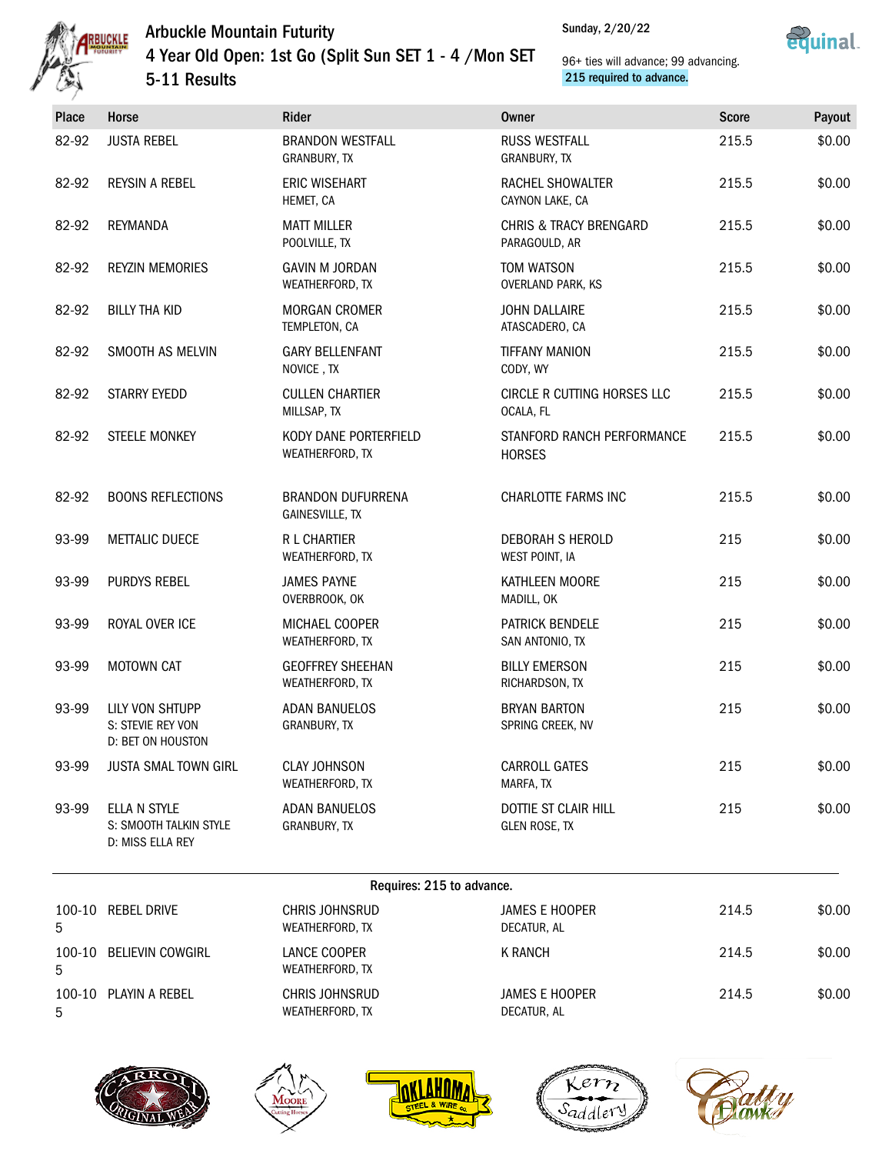



### 96+ ties will advance; 99 advancing. 215 required to advance.

| <b>Place</b> | Horse                                                      | Rider                                          | <b>Owner</b>                                       | <b>Score</b> | Payout |
|--------------|------------------------------------------------------------|------------------------------------------------|----------------------------------------------------|--------------|--------|
| 82-92        | <b>JUSTA REBEL</b>                                         | <b>BRANDON WESTFALL</b><br><b>GRANBURY, TX</b> | <b>RUSS WESTFALL</b><br>GRANBURY, TX               | 215.5        | \$0.00 |
| 82-92        | REYSIN A REBEL                                             | <b>ERIC WISEHART</b><br>HEMET, CA              | RACHEL SHOWALTER<br>CAYNON LAKE, CA                | 215.5        | \$0.00 |
| 82-92        | REYMANDA                                                   | <b>MATT MILLER</b><br>POOLVILLE, TX            | <b>CHRIS &amp; TRACY BRENGARD</b><br>PARAGOULD, AR | 215.5        | \$0.00 |
| 82-92        | <b>REYZIN MEMORIES</b>                                     | <b>GAVIN M JORDAN</b><br>WEATHERFORD, TX       | <b>TOM WATSON</b><br>OVERLAND PARK, KS             | 215.5        | \$0.00 |
| 82-92        | <b>BILLY THA KID</b>                                       | <b>MORGAN CROMER</b><br>TEMPLETON, CA          | <b>JOHN DALLAIRE</b><br>ATASCADERO, CA             | 215.5        | \$0.00 |
| 82-92        | SMOOTH AS MELVIN                                           | <b>GARY BELLENFANT</b><br>NOVICE, TX           | <b>TIFFANY MANION</b><br>CODY, WY                  | 215.5        | \$0.00 |
| 82-92        | <b>STARRY EYEDD</b>                                        | <b>CULLEN CHARTIER</b><br>MILLSAP, TX          | CIRCLE R CUTTING HORSES LLC<br>OCALA, FL           | 215.5        | \$0.00 |
| 82-92        | <b>STEELE MONKEY</b>                                       | KODY DANE PORTERFIELD<br>WEATHERFORD, TX       | STANFORD RANCH PERFORMANCE<br><b>HORSES</b>        | 215.5        | \$0.00 |
| 82-92        | <b>BOONS REFLECTIONS</b>                                   | <b>BRANDON DUFURRENA</b><br>GAINESVILLE, TX    | CHARLOTTE FARMS INC                                | 215.5        | \$0.00 |
| 93-99        | <b>METTALIC DUECE</b>                                      | <b>R L CHARTIER</b><br>WEATHERFORD, TX         | DEBORAH S HEROLD<br>WEST POINT, IA                 | 215          | \$0.00 |
| 93-99        | <b>PURDYS REBEL</b>                                        | <b>JAMES PAYNE</b><br>OVERBROOK, OK            | KATHLEEN MOORE<br>MADILL, OK                       | 215          | \$0.00 |
| 93-99        | ROYAL OVER ICE                                             | MICHAEL COOPER<br>WEATHERFORD, TX              | PATRICK BENDELE<br>SAN ANTONIO, TX                 | 215          | \$0.00 |
| 93-99        | <b>MOTOWN CAT</b>                                          | <b>GEOFFREY SHEEHAN</b><br>WEATHERFORD, TX     | <b>BILLY EMERSON</b><br>RICHARDSON, TX             | 215          | \$0.00 |
| 93-99        | LILY VON SHTUPP<br>S: STEVIE REY VON<br>D: BET ON HOUSTON  | <b>ADAN BANUELOS</b><br>GRANBURY, TX           | <b>BRYAN BARTON</b><br>SPRING CREEK, NV            | 215          | \$0.00 |
| 93-99        | JUSTA SMAL TOWN GIRL                                       | <b>CLAY JOHNSON</b><br>WEATHERFORD, TX         | <b>CARROLL GATES</b><br>MARFA, TX                  | 215          | \$0.00 |
| 93-99        | ELLA N STYLE<br>S: SMOOTH TALKIN STYLE<br>D: MISS ELLA REY | <b>ADAN BANUELOS</b><br>GRANBURY, TX           | DOTTIE ST CLAIR HILL<br><b>GLEN ROSE, TX</b>       | 215          | \$0.00 |
|              |                                                            |                                                |                                                    |              |        |

#### Requires: 215 to advance.

|   | $1.04411001 = 20000000010010001$ |                                          |                                      |       |        |  |
|---|----------------------------------|------------------------------------------|--------------------------------------|-------|--------|--|
| 5 | 100-10 REBEL DRIVE               | CHRIS JOHNSRUD<br>WEATHERFORD, TX        | JAMES E HOOPER<br>DECATUR, AL        | 214.5 | \$0.00 |  |
| 5 | 100-10 BELIEVIN COWGIRL          | LANCE COOPER<br>WEATHERFORD, TX          | <b>K RANCH</b>                       | 214.5 | \$0.00 |  |
| 5 | 100-10 PLAYIN A REBEL            | CHRIS JOHNSRUD<br><b>WEATHERFORD, TX</b> | <b>JAMES E HOOPER</b><br>DECATUR, AL | 214.5 | \$0.00 |  |









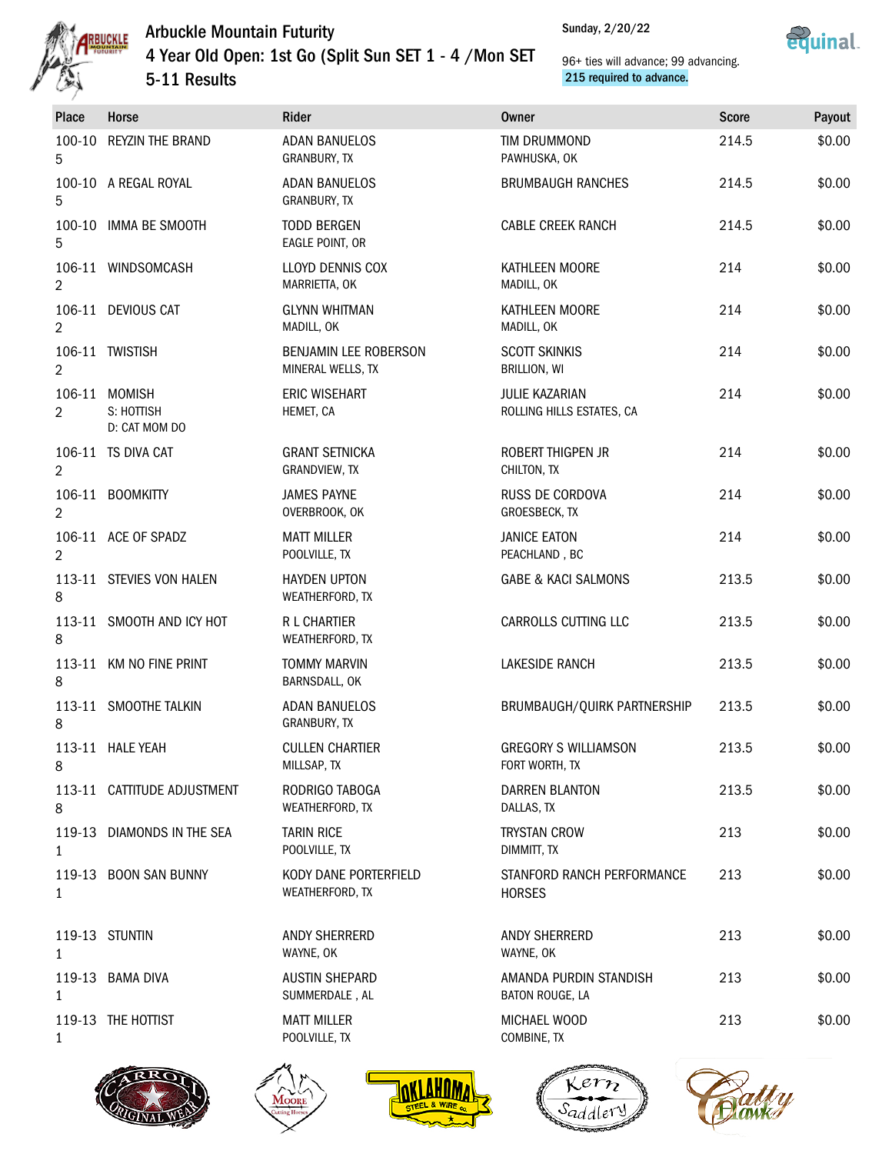



| <b>Place</b>   | Horse                                        | Rider                                      | <b>Owner</b>                                       | <b>Score</b> | Payout |
|----------------|----------------------------------------------|--------------------------------------------|----------------------------------------------------|--------------|--------|
| 5              | 100-10 REYZIN THE BRAND                      | <b>ADAN BANUELOS</b><br>GRANBURY, TX       | TIM DRUMMOND<br>PAWHUSKA, OK                       | 214.5        | \$0.00 |
| 5              | 100-10 A REGAL ROYAL                         | <b>ADAN BANUELOS</b><br>GRANBURY, TX       | <b>BRUMBAUGH RANCHES</b>                           | 214.5        | \$0.00 |
| 5              | 100-10 IMMA BE SMOOTH                        | <b>TODD BERGEN</b><br>EAGLE POINT, OR      | <b>CABLE CREEK RANCH</b>                           | 214.5        | \$0.00 |
| $\overline{2}$ | 106-11 WINDSOMCASH                           | LLOYD DENNIS COX<br>MARRIETTA, OK          | KATHLEEN MOORE<br>MADILL, OK                       | 214          | \$0.00 |
| $\overline{2}$ | 106-11 DEVIOUS CAT                           | <b>GLYNN WHITMAN</b><br>MADILL, OK         | KATHLEEN MOORE<br>MADILL, OK                       | 214          | \$0.00 |
| $\overline{2}$ | 106-11 TWISTISH                              | BENJAMIN LEE ROBERSON<br>MINERAL WELLS, TX | <b>SCOTT SKINKIS</b><br>BRILLION, WI               | 214          | \$0.00 |
| $\overline{2}$ | 106-11 MOMISH<br>S: HOTTISH<br>D: CAT MOM DO | <b>ERIC WISEHART</b><br>HEMET, CA          | <b>JULIE KAZARIAN</b><br>ROLLING HILLS ESTATES, CA | 214          | \$0.00 |
| $\overline{2}$ | 106-11 TS DIVA CAT                           | <b>GRANT SETNICKA</b><br>GRANDVIEW, TX     | ROBERT THIGPEN JR<br>CHILTON, TX                   | 214          | \$0.00 |
| $\overline{2}$ | 106-11 BOOMKITTY                             | <b>JAMES PAYNE</b><br>OVERBROOK, OK        | RUSS DE CORDOVA<br>GROESBECK, TX                   | 214          | \$0.00 |
| 2              | 106-11 ACE OF SPADZ                          | <b>MATT MILLER</b><br>POOLVILLE, TX        | <b>JANICE EATON</b><br>PEACHLAND, BC               | 214          | \$0.00 |
| 8              | 113-11 STEVIES VON HALEN                     | <b>HAYDEN UPTON</b><br>WEATHERFORD, TX     | <b>GABE &amp; KACI SALMONS</b>                     | 213.5        | \$0.00 |
| 8              | 113-11 SMOOTH AND ICY HOT                    | <b>R L CHARTIER</b><br>WEATHERFORD, TX     | CARROLLS CUTTING LLC                               | 213.5        | \$0.00 |
| 8              | 113-11 KM NO FINE PRINT                      | <b>TOMMY MARVIN</b><br>BARNSDALL, OK       | <b>LAKESIDE RANCH</b>                              | 213.5        | \$0.00 |
| 8              | 113-11 SMOOTHE TALKIN                        | <b>ADAN BANUELOS</b><br>GRANBURY, TX       | BRUMBAUGH/QUIRK PARTNERSHIP                        | 213.5        | \$0.00 |
| 8              | 113-11 HALE YEAH                             | <b>CULLEN CHARTIER</b><br>MILLSAP, TX      | <b>GREGORY S WILLIAMSON</b><br>FORT WORTH, TX      | 213.5        | \$0.00 |
| 8              | 113-11 CATTITUDE ADJUSTMENT                  | RODRIGO TABOGA<br>WEATHERFORD, TX          | DARREN BLANTON<br>DALLAS, TX                       | 213.5        | \$0.00 |
| $\mathbf{1}$   | 119-13 DIAMONDS IN THE SEA                   | <b>TARIN RICE</b><br>POOLVILLE, TX         | <b>TRYSTAN CROW</b><br>DIMMITT, TX                 | 213          | \$0.00 |
| 1              | 119-13 BOON SAN BUNNY                        | KODY DANE PORTERFIELD<br>WEATHERFORD, TX   | STANFORD RANCH PERFORMANCE<br><b>HORSES</b>        | 213          | \$0.00 |
| $\mathbf{1}$   | 119-13 STUNTIN                               | ANDY SHERRERD<br>WAYNE, OK                 | ANDY SHERRERD<br>WAYNE, OK                         | 213          | \$0.00 |
| $\mathbf{1}$   | 119-13 BAMA DIVA                             | <b>AUSTIN SHEPARD</b><br>SUMMERDALE, AL    | AMANDA PURDIN STANDISH<br>BATON ROUGE, LA          | 213          | \$0.00 |
| $\mathbf{1}$   | 119-13 THE HOTTIST                           | <b>MATT MILLER</b><br>POOLVILLE, TX        | MICHAEL WOOD<br>COMBINE, TX                        | 213          | \$0.00 |
|                |                                              |                                            |                                                    |              |        |









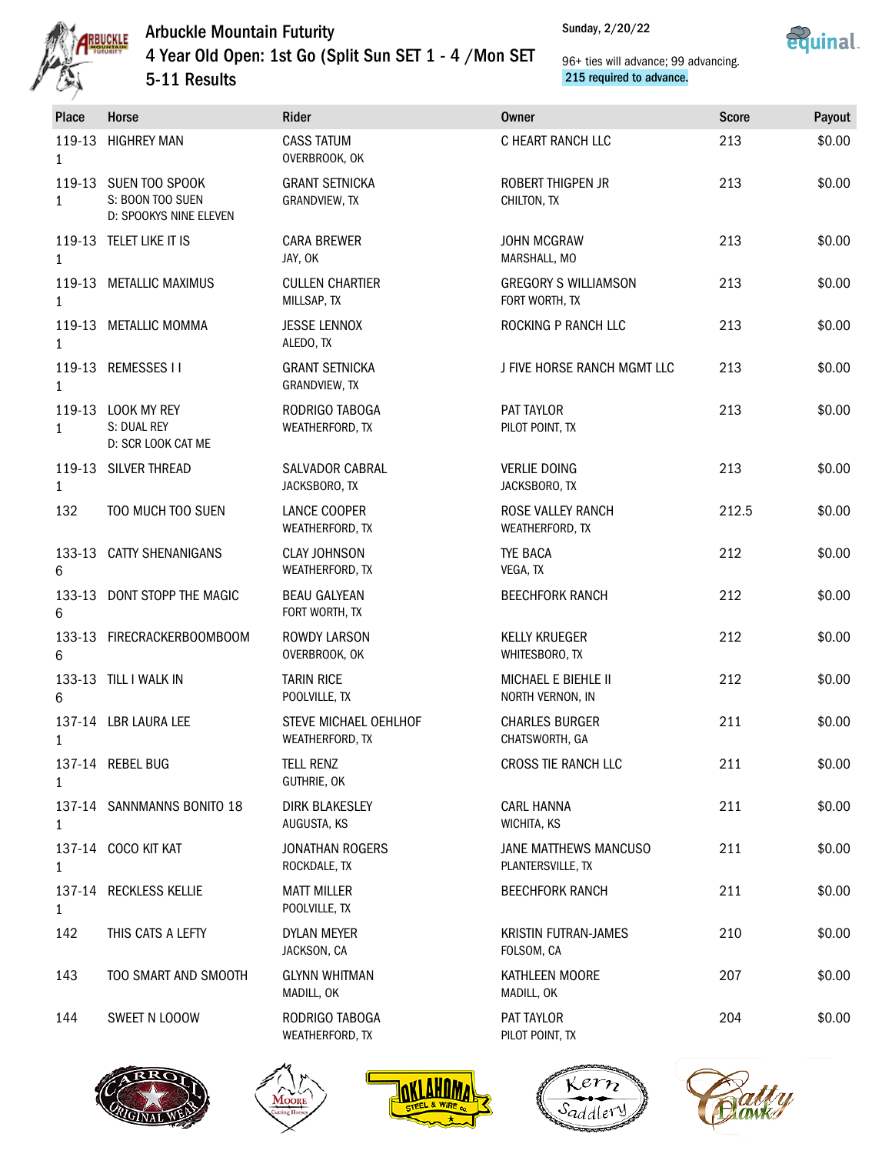



| Place        | Horse                                                               | Rider                                    | <b>Owner</b>                                  | <b>Score</b> | Payout |
|--------------|---------------------------------------------------------------------|------------------------------------------|-----------------------------------------------|--------------|--------|
| $\mathbf{1}$ | 119-13 HIGHREY MAN                                                  | <b>CASS TATUM</b><br>OVERBROOK, OK       | C HEART RANCH LLC                             | 213          | \$0.00 |
| $\mathbf{1}$ | 119-13 SUEN TOO SPOOK<br>S: BOON TOO SUEN<br>D: SPOOKYS NINE ELEVEN | <b>GRANT SETNICKA</b><br>GRANDVIEW, TX   | ROBERT THIGPEN JR<br>CHILTON, TX              | 213          | \$0.00 |
| $\mathbf{1}$ | 119-13 TELET LIKE IT IS                                             | <b>CARA BREWER</b><br>JAY, OK            | <b>JOHN MCGRAW</b><br>MARSHALL, MO            | 213          | \$0.00 |
| $\mathbf{1}$ | 119-13 METALLIC MAXIMUS                                             | <b>CULLEN CHARTIER</b><br>MILLSAP, TX    | <b>GREGORY S WILLIAMSON</b><br>FORT WORTH, TX | 213          | \$0.00 |
| $\mathbf{1}$ | 119-13 METALLIC MOMMA                                               | <b>JESSE LENNOX</b><br>ALEDO, TX         | ROCKING P RANCH LLC                           | 213          | \$0.00 |
| $\mathbf{1}$ | 119-13 REMESSES II                                                  | <b>GRANT SETNICKA</b><br>GRANDVIEW, TX   | J FIVE HORSE RANCH MGMT LLC                   | 213          | \$0.00 |
| $\mathbf{1}$ | 119-13 LOOK MY REY<br>S: DUAL REY<br>D: SCR LOOK CAT ME             | RODRIGO TABOGA<br>WEATHERFORD, TX        | PAT TAYLOR<br>PILOT POINT, TX                 | 213          | \$0.00 |
| $\mathbf{1}$ | 119-13 SILVER THREAD                                                | SALVADOR CABRAL<br>JACKSBORO, TX         | <b>VERLIE DOING</b><br>JACKSBORO, TX          | 213          | \$0.00 |
| 132          | TOO MUCH TOO SUEN                                                   | LANCE COOPER<br>WEATHERFORD, TX          | ROSE VALLEY RANCH<br>WEATHERFORD, TX          | 212.5        | \$0.00 |
| 6            | 133-13 CATTY SHENANIGANS                                            | <b>CLAY JOHNSON</b><br>WEATHERFORD, TX   | <b>TYE BACA</b><br>VEGA, TX                   | 212          | \$0.00 |
| 6            | 133-13 DONT STOPP THE MAGIC                                         | <b>BEAU GALYEAN</b><br>FORT WORTH, TX    | <b>BEECHFORK RANCH</b>                        | 212          | \$0.00 |
| 6            | 133-13 FIRECRACKERBOOMBOOM                                          | <b>ROWDY LARSON</b><br>OVERBROOK, OK     | <b>KELLY KRUEGER</b><br>WHITESBORO, TX        | 212          | \$0.00 |
| 6            | 133-13 TILL I WALK IN                                               | <b>TARIN RICE</b><br>POOLVILLE, TX       | MICHAEL E BIEHLE II<br>NORTH VERNON, IN       | 212          | \$0.00 |
| $\mathbf{1}$ | 137-14 LBR LAURA LEE                                                | STEVE MICHAEL OEHLHOF<br>WEATHERFORD, TX | <b>CHARLES BURGER</b><br>CHATSWORTH, GA       | 211          | \$0.00 |
| $\mathbf{1}$ | 137-14 REBEL BUG                                                    | <b>TELL RENZ</b><br>GUTHRIE, OK          | CROSS TIE RANCH LLC                           | 211          | \$0.00 |
| 1            | 137-14 SANNMANNS BONITO 18                                          | <b>DIRK BLAKESLEY</b><br>AUGUSTA, KS     | <b>CARL HANNA</b><br>WICHITA, KS              | 211          | \$0.00 |
| 1            | 137-14 COCO KIT KAT                                                 | <b>JONATHAN ROGERS</b><br>ROCKDALE, TX   | JANE MATTHEWS MANCUSO<br>PLANTERSVILLE, TX    | 211          | \$0.00 |
| $\mathbf{1}$ | 137-14 RECKLESS KELLIE                                              | <b>MATT MILLER</b><br>POOLVILLE, TX      | <b>BEECHFORK RANCH</b>                        | 211          | \$0.00 |
| 142          | THIS CATS A LEFTY                                                   | DYLAN MEYER<br>JACKSON, CA               | <b>KRISTIN FUTRAN-JAMES</b><br>FOLSOM, CA     | 210          | \$0.00 |
| 143          | TOO SMART AND SMOOTH                                                | <b>GLYNN WHITMAN</b><br>MADILL, OK       | KATHLEEN MOORE<br>MADILL, OK                  | 207          | \$0.00 |
| 144          | SWEET N LOOOW                                                       | RODRIGO TABOGA<br>WEATHERFORD, TX        | PAT TAYLOR<br>PILOT POINT, TX                 | 204          | \$0.00 |